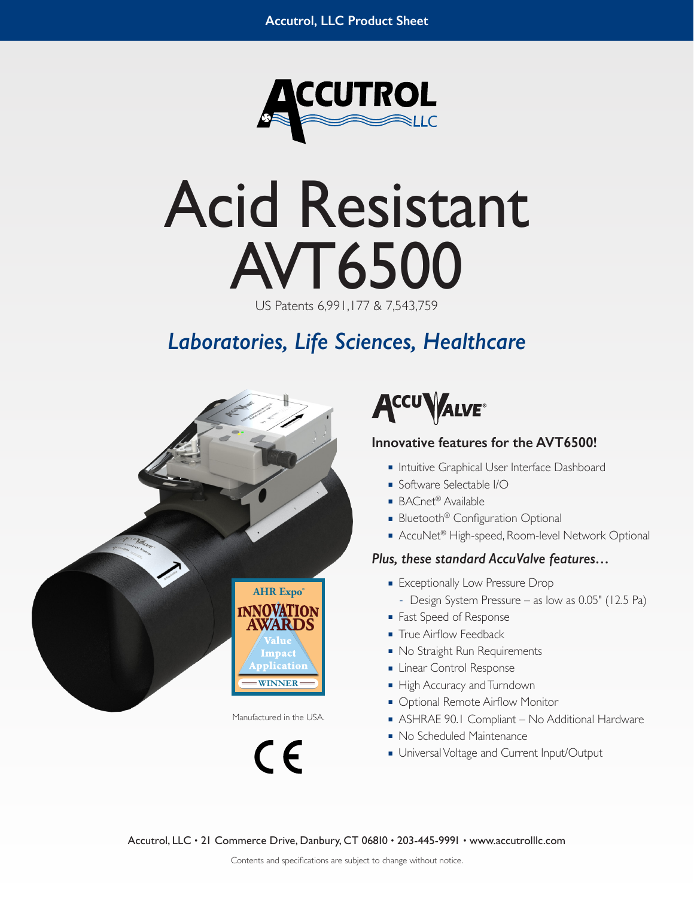

# Acid Resistant AVT6500

US Patents 6,991,177 & 7,543,759

## *Laboratories, Life Sciences, Healthcare*



**ACCU VALVE** 

### **Innovative features for the AVT6500!**

- Intuitive Graphical User Interface Dashboard
- Software Selectable I/O
- BACnet<sup>®</sup> Available
- Bluetooth<sup>®</sup> Configuration Optional
- AccuNet<sup>®</sup> High-speed, Room-level Network Optional

### *Plus, these standard AccuValve features…*

- Exceptionally Low Pressure Drop **–** Design System Pressure – as low as 0.05" (12.5 Pa)
- Fast Speed of Response
- True Airflow Feedback
- No Straight Run Requirements
- Linear Control Response
- High Accuracy and Turndown
- Optional Remote Airflow Monitor
- ASHRAE 90.1 Compliant No Additional Hardware
- No Scheduled Maintenance
- Universal Voltage and Current Input/Output

Accutrol, LLC • 21 Commerce Drive, Danbury, CT 06810 • 203-445-9991 • www.accutrolllc.com

 $\epsilon$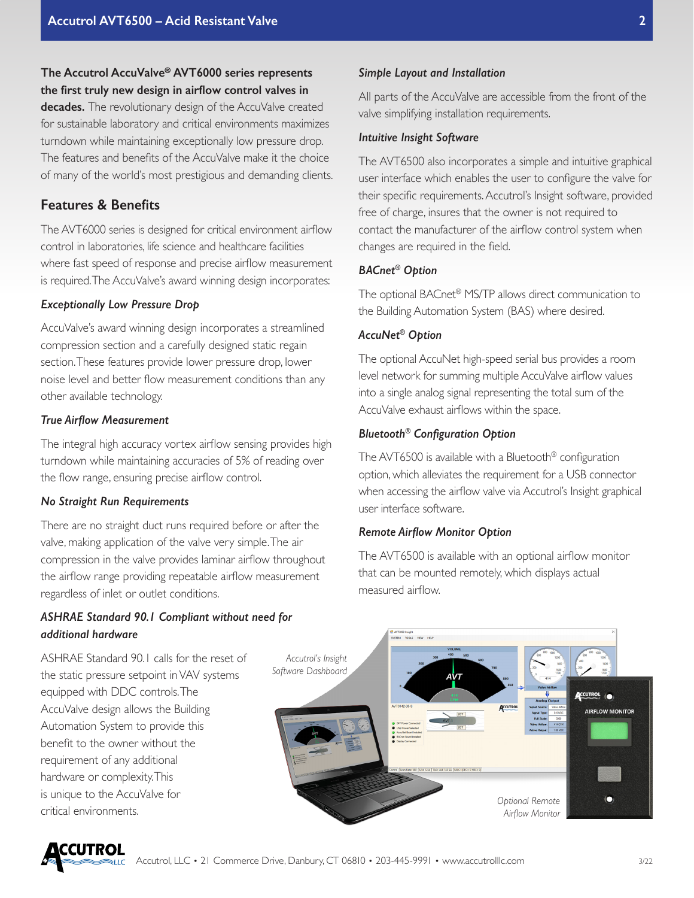### **The Accutrol AccuValve® AVT6000 series represents the first truly new design in airflow control valves in**

**decades.** The revolutionary design of the AccuValve created for sustainable laboratory and critical environments maximizes turndown while maintaining exceptionally low pressure drop. The features and benefits of the AccuValve make it the choice of many of the world's most prestigious and demanding clients.

### **Features & Benefits**

The AVT6000 series is designed for critical environment airflow control in laboratories, life science and healthcare facilities where fast speed of response and precise airflow measurement is required. The AccuValve's award winning design incorporates:

### *Exceptionally Low Pressure Drop*

AccuValve's award winning design incorporates a streamlined compression section and a carefully designed static regain section. These features provide lower pressure drop, lower noise level and better flow measurement conditions than any other available technology.

### *True Airflow Measurement*

The integral high accuracy vortex airflow sensing provides high turndown while maintaining accuracies of 5% of reading over the flow range, ensuring precise airflow control.

### *No Straight Run Requirements*

There are no straight duct runs required before or after the valve, making application of the valve very simple. The air compression in the valve provides laminar airflow throughout the airflow range providing repeatable airflow measurement regardless of inlet or outlet conditions.

### *ASHRAE Standard 90.1 Compliant without need for additional hardware*

ASHRAE Standard 90.1 calls for the reset of the static pressure setpoint in VAV systems equipped with DDC controls. The AccuValve design allows the Building Automation System to provide this benefit to the owner without the requirement of any additional hardware or complexity. This is unique to the AccuValve for critical environments.

# *Accutrol's Insight Software Dashboard*UTROL<sub>(</sub> **AIRFLOW MONITOR** *Optional Remote Airflow Monitor*

CCUTROL

### *Simple Layout and Installation*

All parts of the AccuValve are accessible from the front of the valve simplifying installation requirements.

### *Intuitive Insight Software*

The AVT6500 also incorporates a simple and intuitive graphical user interface which enables the user to configure the valve for their specific requirements. Accutrol's Insight software, provided free of charge, insures that the owner is not required to contact the manufacturer of the airflow control system when changes are required in the field.

### *BACnet® Option*

The optional BACnet® MS/TP allows direct communication to the Building Automation System (BAS) where desired.

### *AccuNet® Option*

The optional AccuNet high-speed serial bus provides a room level network for summing multiple AccuValve airflow values into a single analog signal representing the total sum of the AccuValve exhaust airflows within the space.

### *Bluetooth® Configuration Option*

The AVT6500 is available with a Bluetooth® configuration option, which alleviates the requirement for a USB connector when accessing the airflow valve via Accutrol's Insight graphical user interface software.

### *Remote Airflow Monitor Option*

The AVT6500 is available with an optional airflow monitor that can be mounted remotely, which displays actual measured airflow.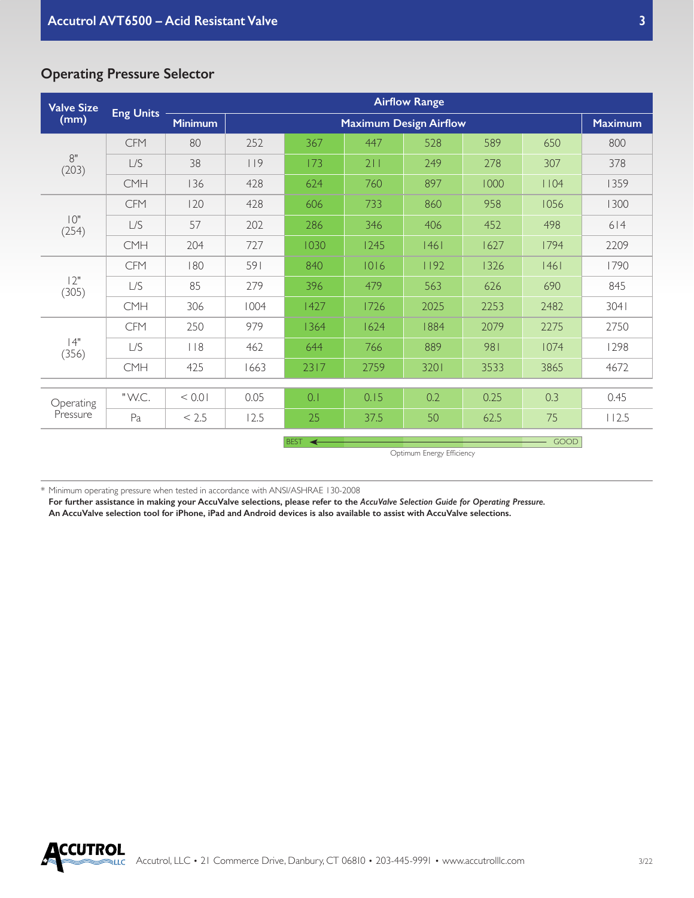| <b>Valve Size</b>     | <b>Eng Units</b> | <b>Airflow Range</b> |                                                 |             |      |      |      |             |       |
|-----------------------|------------------|----------------------|-------------------------------------------------|-------------|------|------|------|-------------|-------|
| (mm)                  |                  | <b>Minimum</b>       | <b>Maximum Design Airflow</b><br><b>Maximum</b> |             |      |      |      |             |       |
| 8"<br>(203)           | <b>CFM</b>       | 80                   | 252                                             | 367         | 447  | 528  | 589  | 650         | 800   |
|                       | L/S              | 38                   | 119                                             | 173         | 211  | 249  | 278  | 307         | 378   |
|                       | <b>CMH</b>       | 136                  | 428                                             | 624         | 760  | 897  | 1000 | 1104        | 1359  |
| 10"<br>(254)          | <b>CFM</b>       | 120                  | 428                                             | 606         | 733  | 860  | 958  | 1056        | 1300  |
|                       | L/S              | 57                   | 202                                             | 286         | 346  | 406  | 452  | 498         | 614   |
|                       | <b>CMH</b>       | 204                  | 727                                             | 1030        | 1245 | 46   | 1627 | 1794        | 2209  |
| 12"<br>(305)          | <b>CFM</b>       | 180                  | 591                                             | 840         | 1016 | 1192 | 1326 | 46          | 1790  |
|                       | L/S              | 85                   | 279                                             | 396         | 479  | 563  | 626  | 690         | 845   |
|                       | <b>CMH</b>       | 306                  | 1004                                            | 1427        | 1726 | 2025 | 2253 | 2482        | 3041  |
| 4"<br>(356)           | <b>CFM</b>       | 250                  | 979                                             | 1364        | 1624 | 1884 | 2079 | 2275        | 2750  |
|                       | L/S              | $ $ $ $ $ $ $ $      | 462                                             | 644         | 766  | 889  | 981  | 1074        | 1298  |
|                       | <b>CMH</b>       | 425                  | 1663                                            | 2317        | 2759 | 3201 | 3533 | 3865        | 4672  |
| Operating<br>Pressure |                  |                      |                                                 |             |      |      |      |             |       |
|                       | "W.C.            | < 0.01               | 0.05                                            | 0.1         | 0.15 | 0.2  | 0.25 | 0.3         | 0.45  |
|                       | Pa               | < 2.5                | 12.5                                            | 25          | 37.5 | 50   | 62.5 | 75          | 112.5 |
|                       |                  |                      |                                                 | <b>BEST</b> |      |      |      | <b>GOOD</b> |       |
|                       |                  |                      | Optimum Energy Efficiency                       |             |      |      |      |             |       |

\* Minimum operating pressure when tested in accordance with ANSI/ASHRAE 130-2008

**For further assistance in making your AccuValve selections, please refer to the** *AccuValve Selection Guide for Operating Pressure.* **An AccuValve selection tool for iPhone, iPad and Android devices is also available to assist with AccuValve selections.**

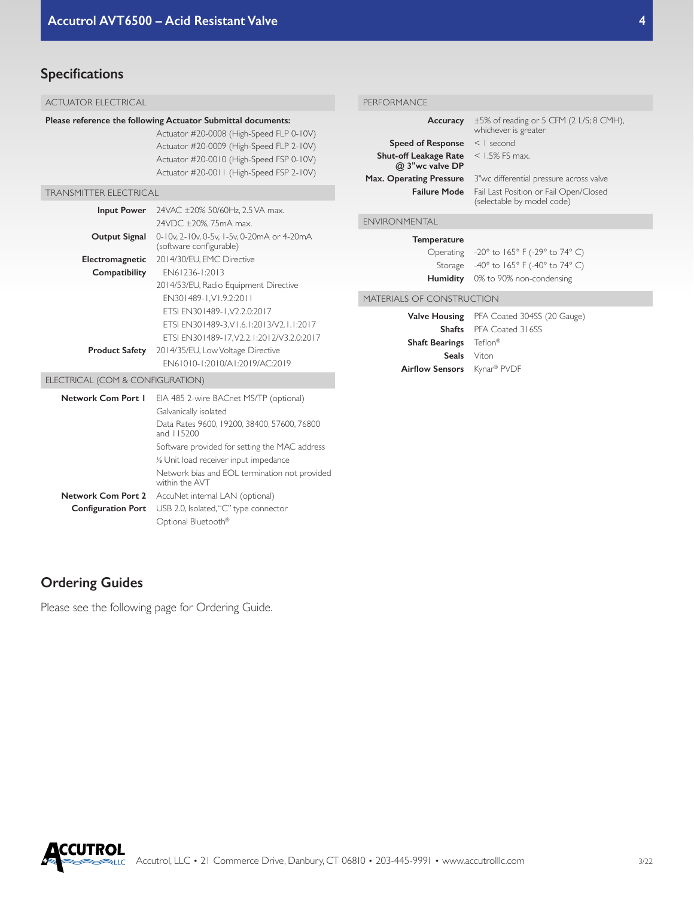### **Specifications**

| <b>ACTUATOR FLECTRICAL</b>       |                                                                                                          | PERFORMANCE                                     |                                                                          |  |  |  |
|----------------------------------|----------------------------------------------------------------------------------------------------------|-------------------------------------------------|--------------------------------------------------------------------------|--|--|--|
|                                  | Please reference the following Actuator Submittal documents:<br>Actuator #20-0008 (High-Speed FLP 0-10V) | Accuracy                                        | ±5% of reading or 5 CFM (2 L/S; 8 CMH),<br>whichever is greater          |  |  |  |
|                                  | Actuator #20-0009 (High-Speed FLP 2-10V)                                                                 | <b>Speed of Response</b>                        | $<$   second                                                             |  |  |  |
|                                  | Actuator #20-0010 (High-Speed FSP 0-10V)                                                                 | <b>Shut-off Leakage Rate</b><br>@ 3"wc valve DP | $<$ 1.5% FS max.                                                         |  |  |  |
|                                  | Actuator #20-0011 (High-Speed FSP 2-10V)                                                                 |                                                 | Max. Operating Pressure 3"wc differential pressure across valve          |  |  |  |
| <b>TRANSMITTER ELECTRICAL</b>    |                                                                                                          | <b>Failure Mode</b>                             | Fail Last Position or Fail Open/Closed<br>(selectable by model code)     |  |  |  |
|                                  | <b>Input Power</b> $24\sqrt{AC} \pm 20\% 50/60Hz$ , 2.5 VA max.<br>24VDC ±20%, 75mA max.                 | <b>ENVIRONMENTAL</b>                            |                                                                          |  |  |  |
| Output Signal                    | 0-10v, 2-10v, 0-5v, 1-5v, 0-20mA or 4-20mA<br>(software configurable)                                    | <b>Temperature</b><br>Operating                 |                                                                          |  |  |  |
| Electromagnetic                  | 2014/30/EU, EMC Directive                                                                                |                                                 | -20° to 165° F (-29° to 74° C)<br>Storage -40° to 165° F (-40° to 74° C) |  |  |  |
| Compatibility                    | EN61236-1:2013                                                                                           |                                                 | Humidity 0% to 90% non-condensing                                        |  |  |  |
|                                  | 2014/53/EU, Radio Equipment Directive                                                                    |                                                 |                                                                          |  |  |  |
|                                  | EN301489-1, V1.9.2:2011                                                                                  | MATERIALS OF CONSTRUCTION                       |                                                                          |  |  |  |
|                                  | ETSI EN301489-1, V2.2.0:2017                                                                             | <b>Valve Housing</b>                            | PFA Coated 304SS (20 Gauge)                                              |  |  |  |
|                                  | ETSI EN301489-3, V1.6.1:2013/V2.1.1:2017                                                                 | <b>Shafts</b>                                   | PFA Coated 316SS                                                         |  |  |  |
|                                  | ETSI EN301489-17, V2.2.1:2012/V3.2.0:2017                                                                | <b>Shaft Bearings</b>                           | Teflon <sup>®</sup>                                                      |  |  |  |
|                                  | <b>Product Safety</b> 2014/35/EU, Low Voltage Directive                                                  | <b>Seals</b>                                    | Viton                                                                    |  |  |  |
|                                  | EN61010-1:2010/A1:2019/AC:2019                                                                           | <b>Airflow Sensors</b>                          | Kynar® PVDF                                                              |  |  |  |
| ELECTRICAL (COM & CONFIGURATION) |                                                                                                          |                                                 |                                                                          |  |  |  |
| <b>Network Com Port I</b>        | EIA 485 2-wire BACnet MS/TP (optional)                                                                   |                                                 |                                                                          |  |  |  |
|                                  | Galvanically isolated                                                                                    |                                                 |                                                                          |  |  |  |
|                                  | Data Rates 9600, 19200, 38400, 57600, 76800<br>and 115200                                                |                                                 |                                                                          |  |  |  |
|                                  | Software provided for setting the MAC address                                                            |                                                 |                                                                          |  |  |  |
|                                  | % Unit load receiver input impedance                                                                     |                                                 |                                                                          |  |  |  |
|                                  | Network bias and EOL termination not provided<br>within the AVT                                          |                                                 |                                                                          |  |  |  |
| <b>Network Com Port 2</b>        | AccuNet internal LAN (optional)                                                                          |                                                 |                                                                          |  |  |  |
| <b>Configuration Port</b>        | USB 2.0, Isolated, "C" type connector                                                                    |                                                 |                                                                          |  |  |  |
|                                  | Optional Bluetooth®                                                                                      |                                                 |                                                                          |  |  |  |

### **Ordering Guides**

Please see the following page for Ordering Guide.